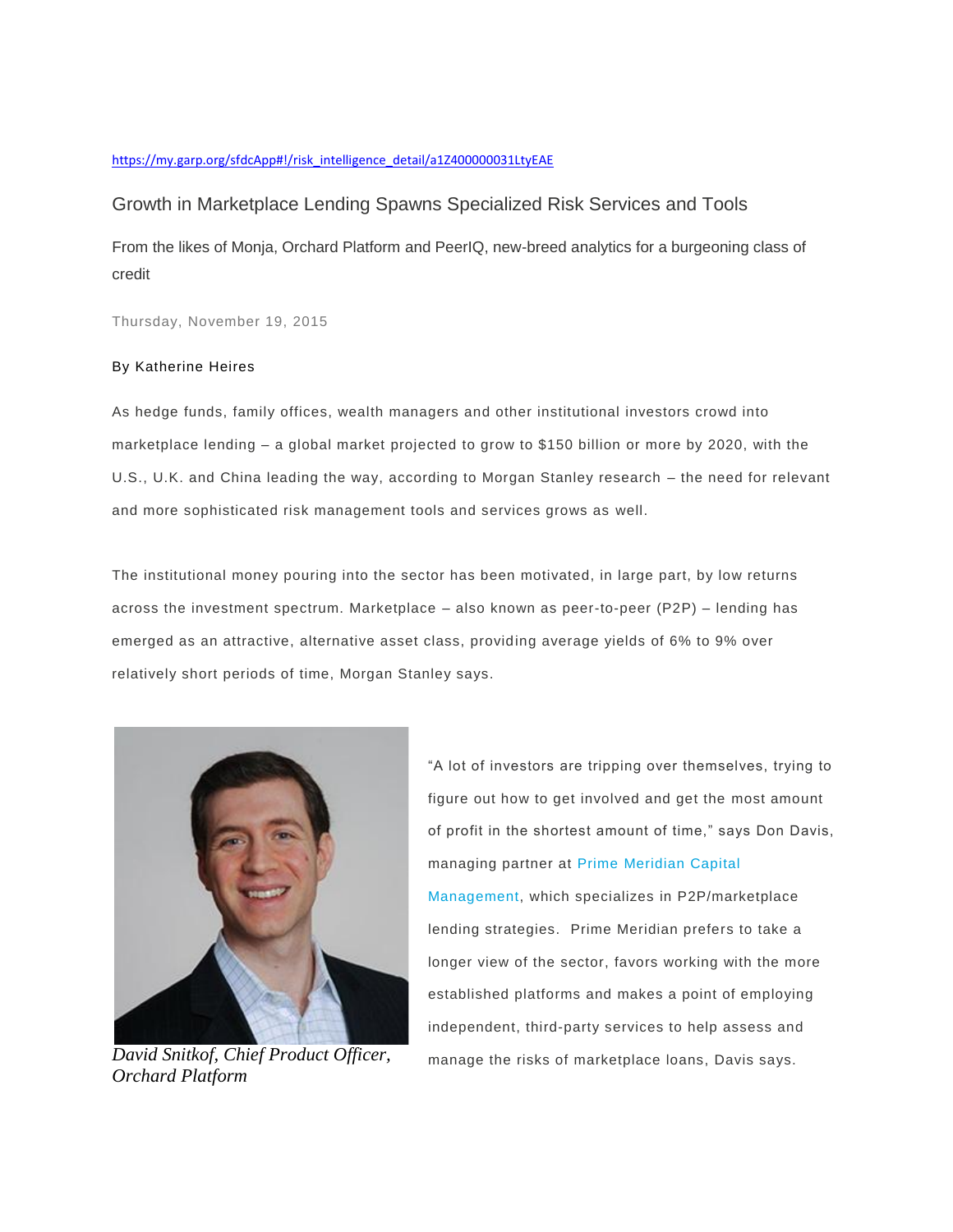#### [https://my.garp.org/sfdcApp#!/risk\\_intelligence\\_detail/a1Z400000031LtyEAE](https://my.garp.org/sfdcApp#!/risk_intelligence_detail/a1Z400000031LtyEAE)

# Growth in Marketplace Lending Spawns Specialized Risk Services and Tools

From the likes of Monja, Orchard Platform and PeerIQ, new-breed analytics for a burgeoning class of credit

Thursday, November 19, 2015

## By Katherine Heires

As hedge funds, family offices, wealth managers and other institutional investors crowd into marketplace lending – a global market projected to grow to \$150 billion or more by 2020, with the U.S., U.K. and China leading the way, according to Morgan Stanley research – the need for relevant and more sophisticated risk management tools and services grows as well.

The institutional money pouring into the sector has been motivated, in large part, by low returns across the investment spectrum. Marketplace – also known as peer-to-peer (P2P) – lending has emerged as an attractive, alternative asset class, providing average yields of 6% to 9% over relatively short periods of time, Morgan Stanley says.



*Orchard Platform*

"A lot of investors are tripping over themselves, trying to figure out how to get involved and get the most amount of profit in the shortest amount of time," says Don Davis, managing partner at [Prime Meridian Capital](http://www.pmifunds.com/)  [Management,](http://www.pmifunds.com/) which specializes in P2P/marketplace lending strategies. Prime Meridian prefers to take a longer view of the sector, favors working with the more established platforms and makes a point of employing independent, third-party services to help assess and *David Snitkof, Chief Product Officer,* manage the risks of marketplace loans, Davis says.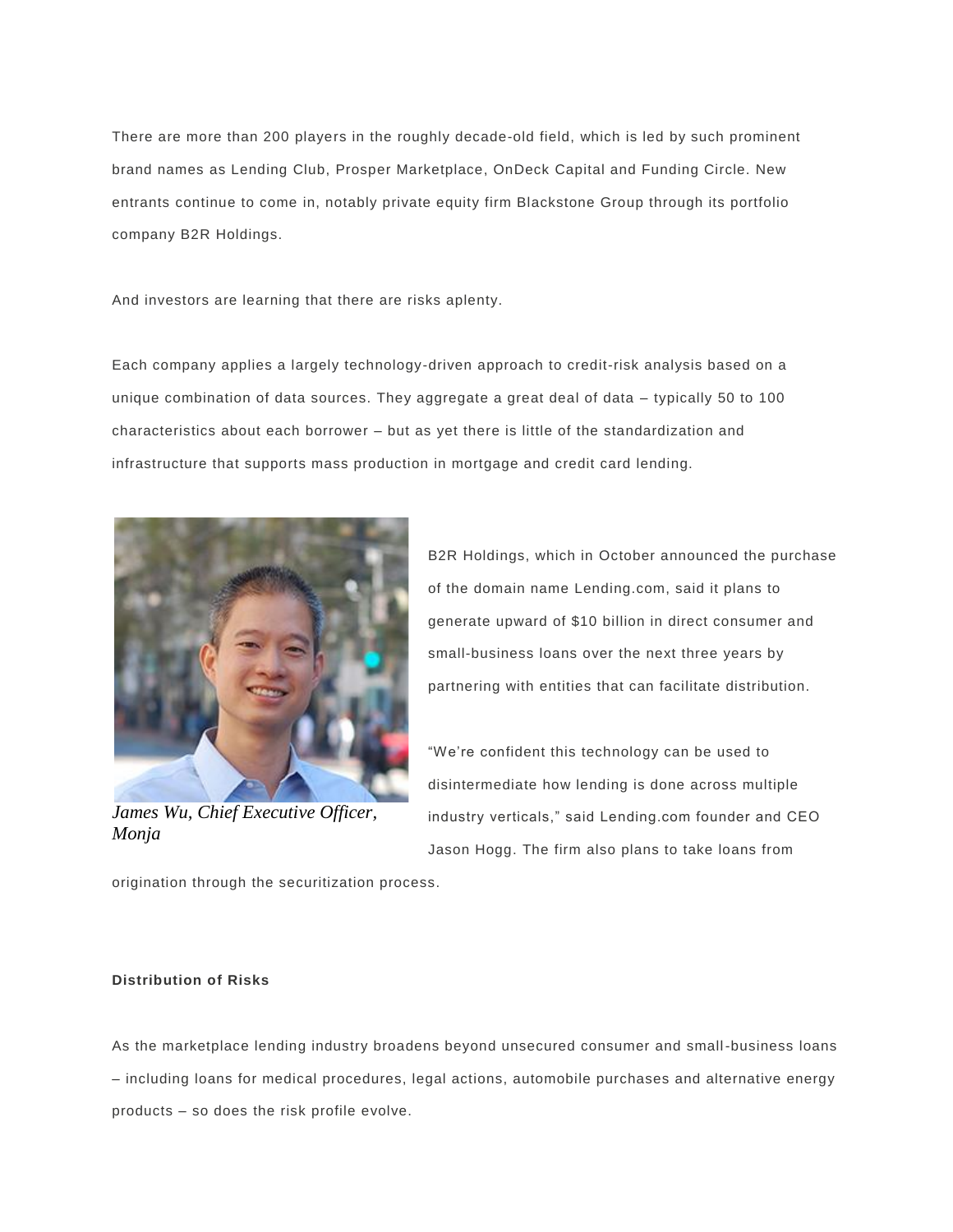There are more than 200 players in the roughly decade-old field, which is led by such prominent brand names as Lending Club, Prosper Marketplace, OnDeck Capital and Funding Circle. New entrants continue to come in, notably private equity firm Blackstone Group through its portfolio company B2R Holdings.

And investors are learning that there are risks aplenty.

Each company applies a largely technology-driven approach to credit-risk analysis based on a unique combination of data sources. They aggregate a great deal of data – typically 50 to 100 characteristics about each borrower – but as yet there is little of the standardization and infrastructure that supports mass production in mortgage and credit card lending.



*James Wu, Chief Executive Officer, Monja*

B2R Holdings, which in October announced the purchase of the domain name Lending.com, said it plans to generate upward of \$10 billion in direct consumer and small-business loans over the next three years by partnering with entities that can facilitate distribution.

"We're confident this technology can be used to disintermediate how lending is done across multiple industry verticals," said Lending.com founder and CEO Jason Hogg. The firm also plans to take loans from

origination through the securitization process.

# **Distribution of Risks**

As the marketplace lending industry broadens beyond unsecured consumer and small-business loans – including loans for medical procedures, legal actions, automobile purchases and alternative energy products – so does the risk profile evolve.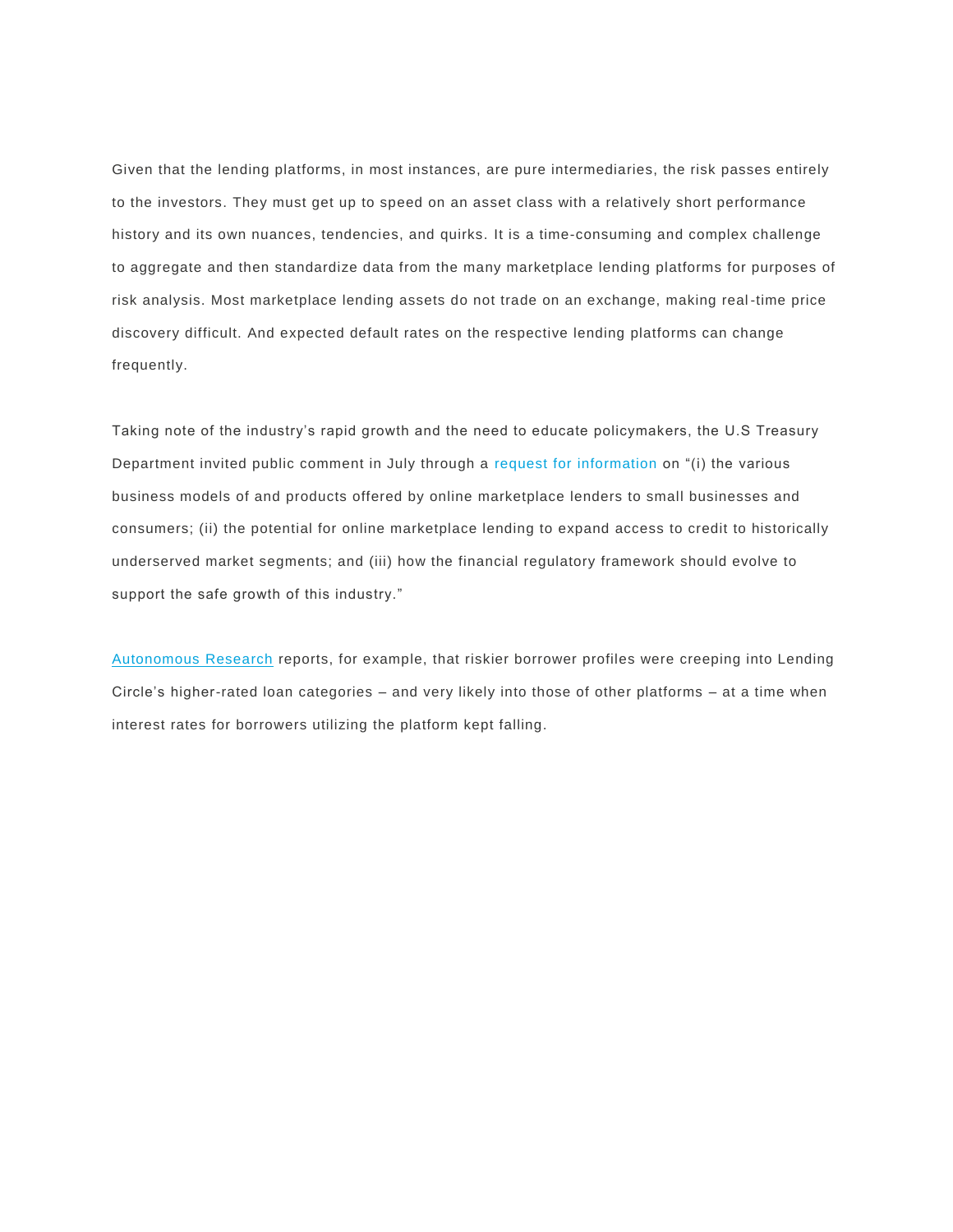Given that the lending platforms, in most instances, are pure intermediaries, the risk passes entirely to the investors. They must get up to speed on an asset class with a relatively short performance history and its own nuances, tendencies, and quirks. It is a time-consuming and complex challenge to aggregate and then standardize data from the many marketplace lending platforms for purposes of risk analysis. Most marketplace lending assets do not trade on an exchange, making real -time price discovery difficult. And expected default rates on the respective lending platforms can change frequently.

Taking note of the industry's rapid growth and the need to educate policymakers, the U.S Treasury Department invited public comment in July through a [request for information](http://www.treasury.gov/connect/blog/Documents/RFI%20Online%20Marketplace%20Lending.pdf) on "(i) the various business models of and products offered by online marketplace lenders to small businesses and consumers; (ii) the potential for online marketplace lending to expand access to credit to historically underserved market segments; and (iii) how the financial regulatory framework should evolve to support the safe growth of this industry."

[Autonomous Research](http://www.autonomous.com/) reports, for example, that riskier borrower profiles were creeping into Lending Circle's higher-rated loan categories – and very likely into those of other platforms – at a time when interest rates for borrowers utilizing the platform kept falling.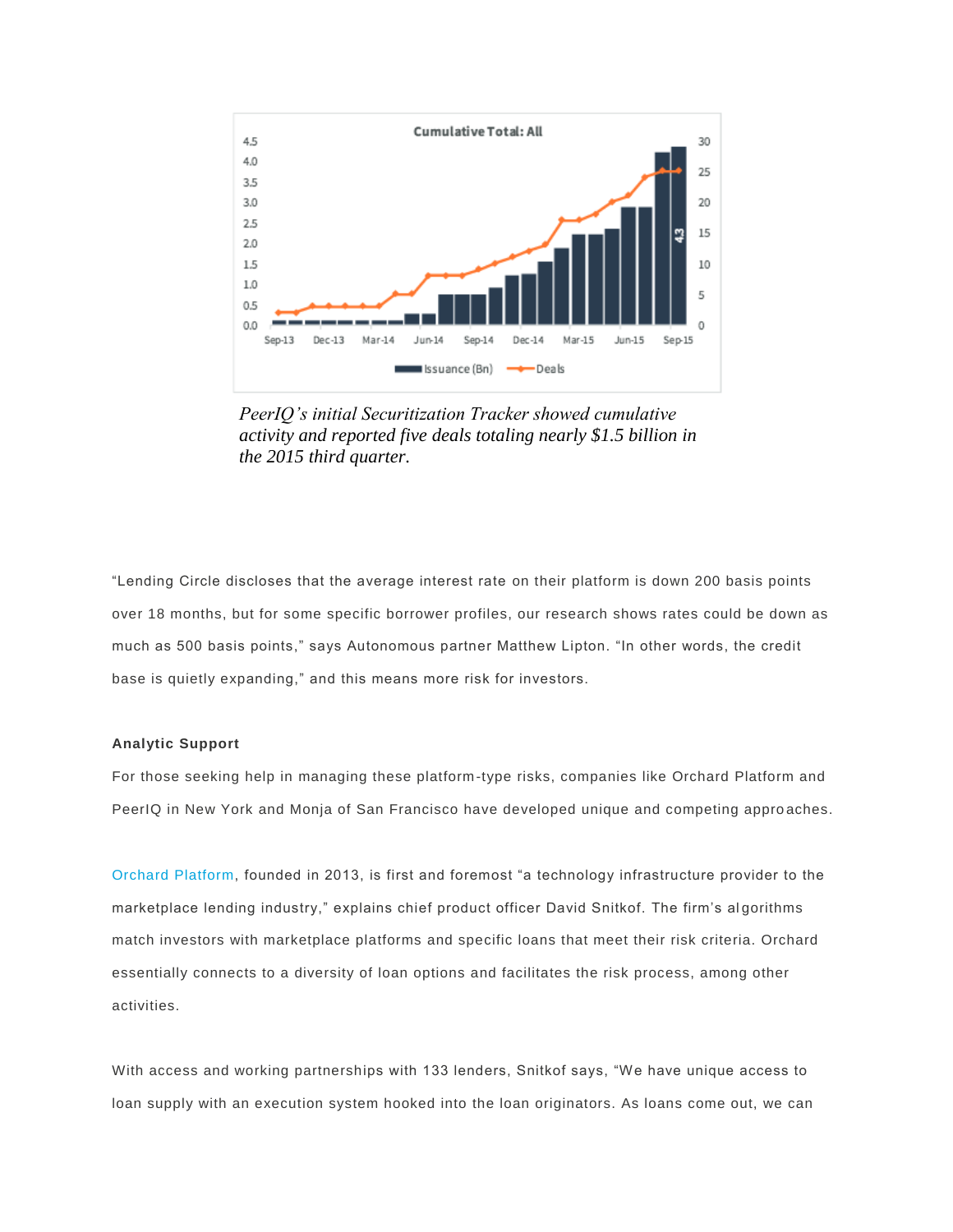

*PeerIQ's initial Securitization Tracker showed cumulative activity and reported five deals totaling nearly \$1.5 billion in the 2015 third quarter.*

"Lending Circle discloses that the average interest rate on their platform is down 200 basis points over 18 months, but for some specific borrower profiles, our research shows rates could be down as much as 500 basis points," says Autonomous partner Matthew Lipton. "In other words, the credit base is quietly expanding," and this means more risk for investors.

#### **Analytic Support**

For those seeking help in managing these platform-type risks, companies like Orchard Platform and PeerIQ in New York and Monja of San Francisco have developed unique and competing appro aches.

[Orchard Platform,](https://orchardplatform.com/) founded in 2013, is first and foremost "a technology infrastructure provider to the marketplace lending industry," explains chief product officer David Snitkof. The firm's al gorithms match investors with marketplace platforms and specific loans that meet their risk criteria. Orchard essentially connects to a diversity of loan options and facilitates the risk process, among other activities.

With access and working partnerships with 133 lenders, Snitkof says, "We have unique access to loan supply with an execution system hooked into the loan originators. As loans come out, we can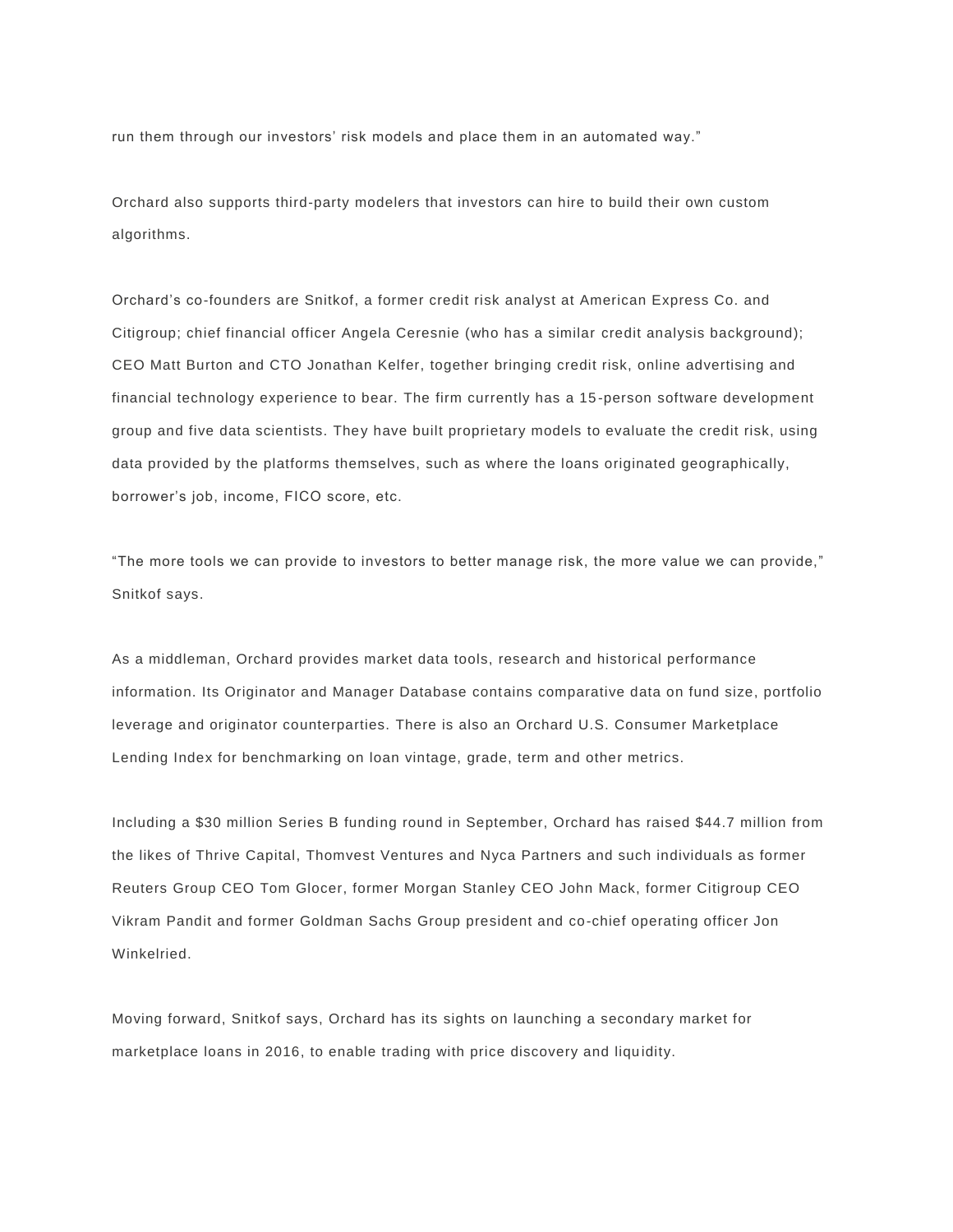run them through our investors' risk models and place them in an automated way."

Orchard also supports third-party modelers that investors can hire to build their own custom algorithms.

Orchard's co-founders are Snitkof, a former credit risk analyst at American Express Co. and Citigroup; chief financial officer Angela Ceresnie (who has a similar credit analysis background); CEO Matt Burton and CTO Jonathan Kelfer, together bringing credit risk, online advertising and financial technology experience to bear. The firm currently has a 15 -person software development group and five data scientists. They have built proprietary models to evaluate the credit risk, using data provided by the platforms themselves, such as where the loans originated geographically, borrower's job, income, FICO score, etc.

"The more tools we can provide to investors to better manage risk, the more value we can provide," Snitkof says.

As a middleman, Orchard provides market data tools, research and historical performance information. Its Originator and Manager Database contains comparative data on fund size, portfolio leverage and originator counterparties. There is also an Orchard U.S. Consumer Marketplace Lending Index for benchmarking on loan vintage, grade, term and other metrics.

Including a \$30 million Series B funding round in September, Orchard has raised \$44.7 million from the likes of Thrive Capital, Thomvest Ventures and Nyca Partners and such individuals as former Reuters Group CEO Tom Glocer, former Morgan Stanley CEO John Mack, former Citigroup CEO Vikram Pandit and former Goldman Sachs Group president and co-chief operating officer Jon Winkelried.

Moving forward, Snitkof says, Orchard has its sights on launching a secondary market for marketplace loans in 2016, to enable trading with price discovery and liquidity.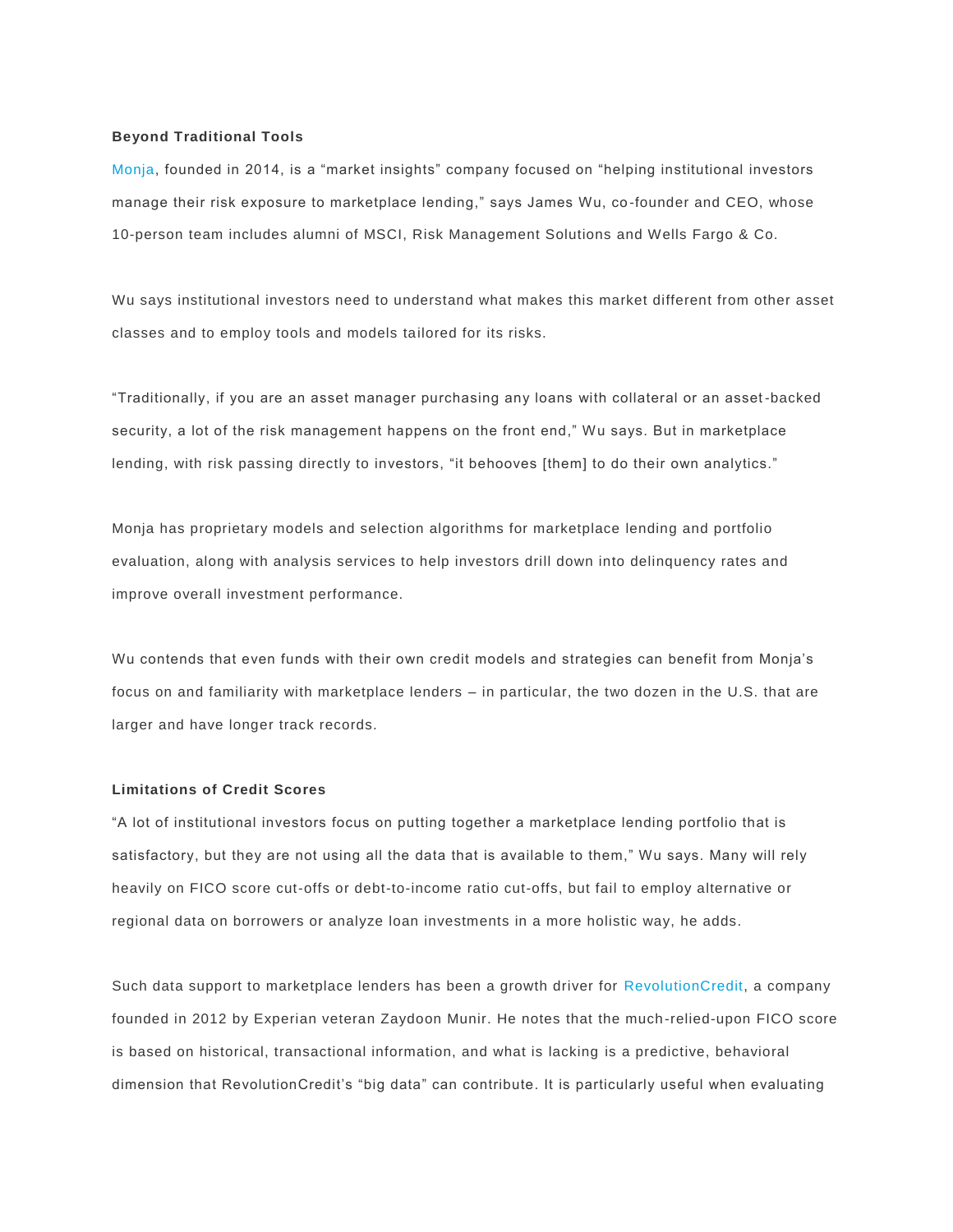## **Beyond Traditional Tools**

[Monja,](https://www.monjaco.com/) founded in 2014, is a "market insights" company focused on "helping institutional investors manage their risk exposure to marketplace lending," says James Wu, co-founder and CEO, whose 10-person team includes alumni of MSCI, Risk Management Solutions and Wells Fargo & Co.

Wu says institutional investors need to understand what makes this market different from other asset classes and to employ tools and models tailored for its risks.

"Traditionally, if you are an asset manager purchasing any loans with collateral or an asset -backed security, a lot of the risk management happens on the front end," Wu says. But in marketplace lending, with risk passing directly to investors, "it behooves [them] to do their own analytics."

Monja has proprietary models and selection algorithms for marketplace lending and portfolio evaluation, along with analysis services to help investors drill down into delinquency rates and improve overall investment performance.

Wu contends that even funds with their own credit models and strategies can benefit from Monja's focus on and familiarity with marketplace lenders – in particular, the two dozen in the U.S. that are larger and have longer track records.

## **Limitations of Credit Scores**

"A lot of institutional investors focus on putting together a marketplace lending portfolio that is satisfactory, but they are not using all the data that is available to them," Wu says. Many will rely heavily on FICO score cut-offs or debt-to-income ratio cut-offs, but fail to employ alternative or regional data on borrowers or analyze loan investments in a more holistic way, he adds.

Such data support to marketplace lenders has been a growth driver for [RevolutionCredit,](http://www.revolutioncredit.com/) a company founded in 2012 by Experian veteran Zaydoon Munir. He notes that the much -relied-upon FICO score is based on historical, transactional information, and what is lacking is a predictive, behavioral dimension that RevolutionCredit's "big data" can contribute. It is particularly useful when evaluating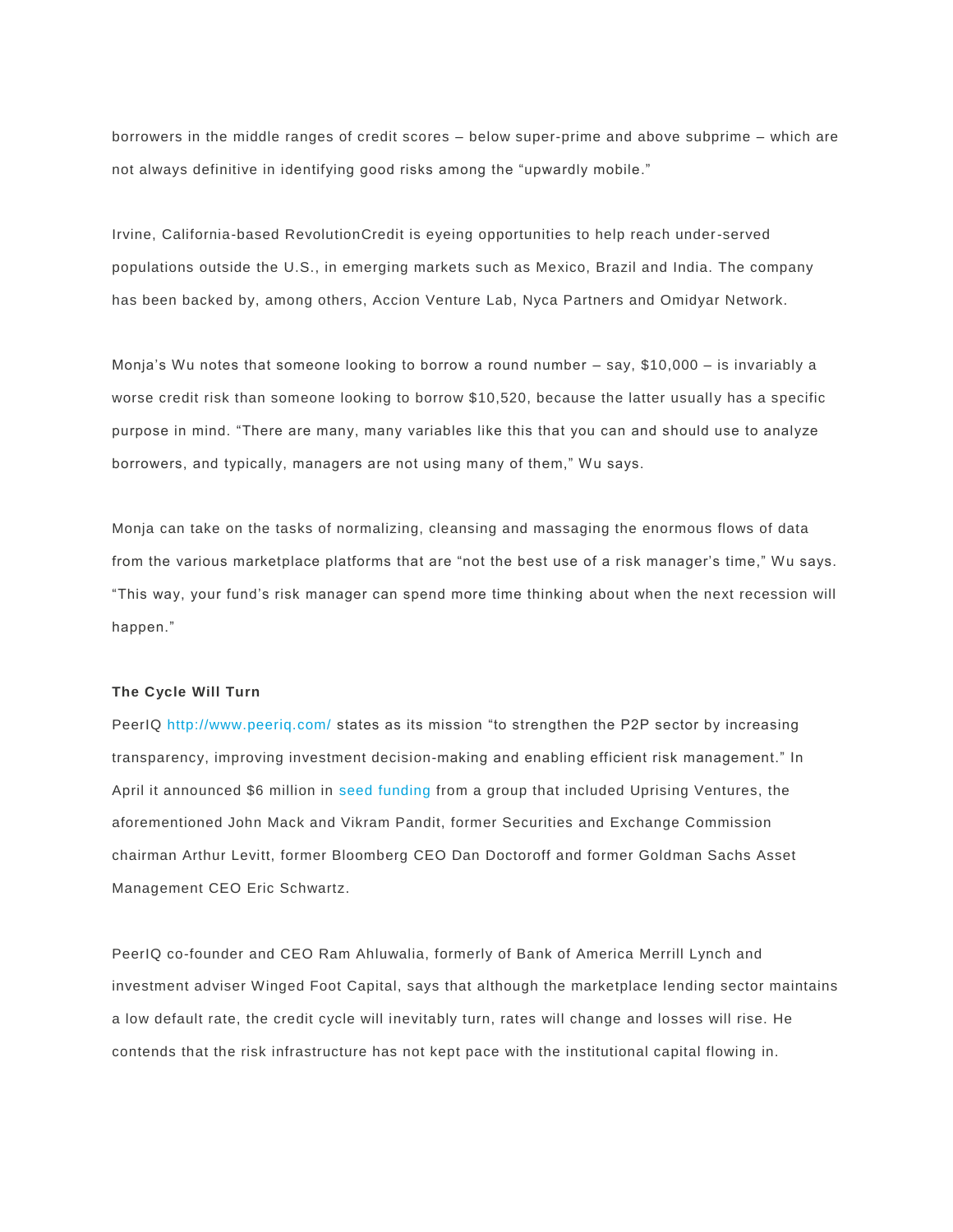borrowers in the middle ranges of credit scores – below super-prime and above subprime – which are not always definitive in identifying good risks among the "upwardly mobile."

Irvine, California-based RevolutionCredit is eyeing opportunities to help reach under-served populations outside the U.S., in emerging markets such as Mexico, Brazil and India. The company has been backed by, among others, Accion Venture Lab, Nyca Partners and Omidyar Network.

Monja's Wu notes that someone looking to borrow a round number – say, \$10,000 – is invariably a worse credit risk than someone looking to borrow \$10,520, because the latter usually has a specific purpose in mind. "There are many, many variables like this that you can and should use to analyze borrowers, and typically, managers are not using many of them," Wu says.

Monja can take on the tasks of normalizing, cleansing and massaging the enormous flows of data from the various marketplace platforms that are "not the best use of a risk manager's time," Wu says. "This way, your fund's risk manager can spend more time thinking about when the next recession will happen."

#### **The Cycle Will Turn**

PeerIQ <http://www.peeriq.com/> states as its mission "to strengthen the P2P sector by increasing transparency, improving investment decision-making and enabling efficient risk management." In April it announced \$6 million in [seed funding](http://globenewswire.com/news-release/2015/04/09/722939/10128191/en/PeerIQ-Secures-6M-in-Seed-Financing-to-Launch-P2P-Credit-Risk-Analytics-Platform.html) from a group that included Uprising Ventures, the aforementioned John Mack and Vikram Pandit, former Securities and Exchange Commission chairman Arthur Levitt, former Bloomberg CEO Dan Doctoroff and former Goldman Sachs Asset Management CEO Eric Schwartz.

PeerIQ co-founder and CEO Ram Ahluwalia, formerly of Bank of America Merrill Lynch and investment adviser Winged Foot Capital, says that although the marketplace lending sector maintains a low default rate, the credit cycle will inevitably turn, rates will change and losses will rise. He contends that the risk infrastructure has not kept pace with the institutional capital flowing in.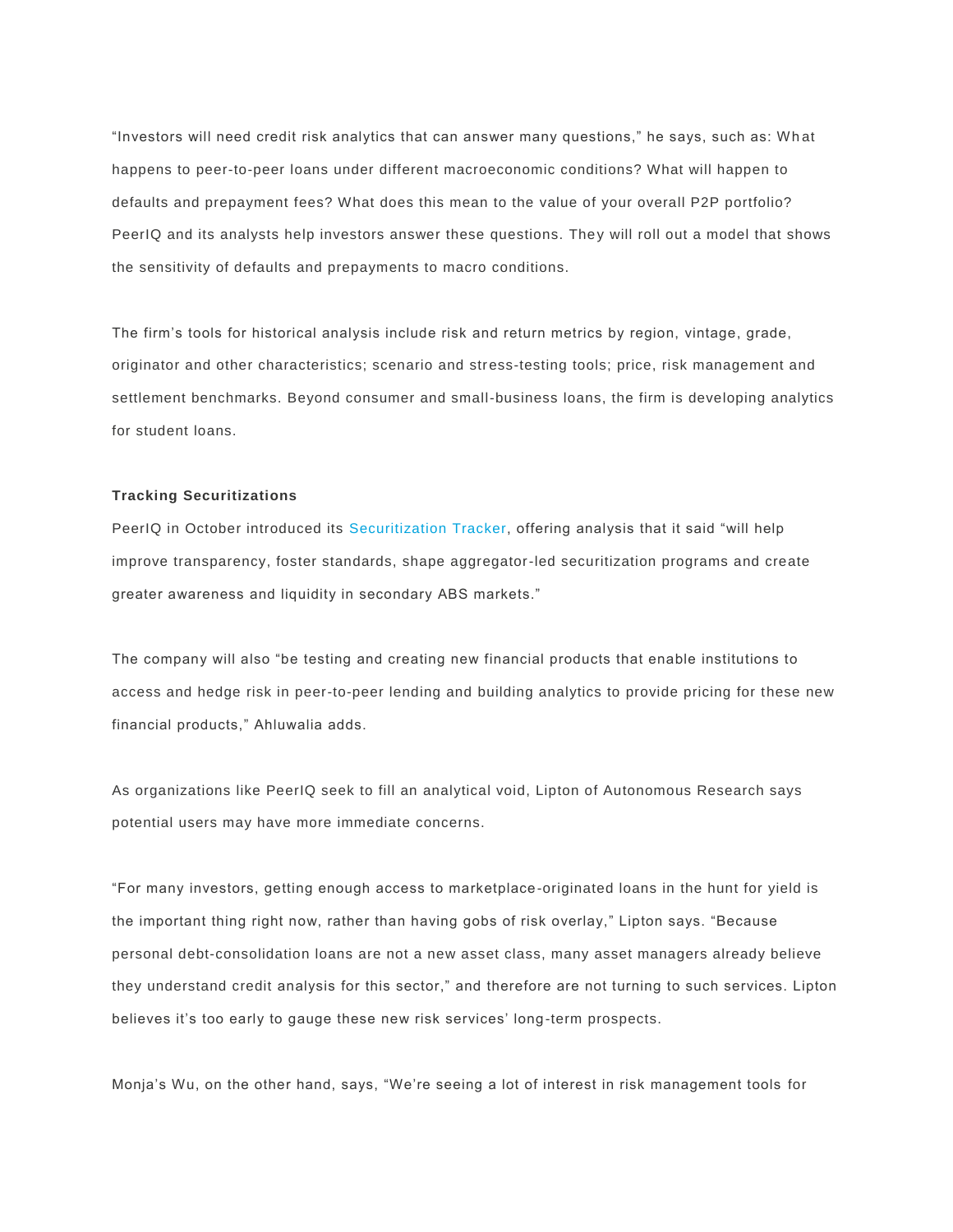"Investors will need credit risk analytics that can answer many questions," he says, such as: Wh at happens to peer-to-peer loans under different macroeconomic conditions? What will happen to defaults and prepayment fees? What does this mean to the value of your overall P2P portfolio? PeerIQ and its analysts help investors answer these questions. They will roll out a model that shows the sensitivity of defaults and prepayments to macro conditions.

The firm's tools for historical analysis include risk and return metrics by region, vintage, grade, originator and other characteristics; scenario and stress-testing tools; price, risk management and settlement benchmarks. Beyond consumer and small-business loans, the firm is developing analytics for student loans.

#### **Tracking Securitizations**

PeerIQ in October introduced its [Securitization Tracker,](http://www.peeriq.com/wp-content/uploads/2015/11/PeerIQ-MPL-Securitization-Tracker-Q3-2015.FINAL_.pdf) offering analysis that it said "will help improve transparency, foster standards, shape aggregator-led securitization programs and create greater awareness and liquidity in secondary ABS markets."

The company will also "be testing and creating new financial products that enable institutions to access and hedge risk in peer-to-peer lending and building analytics to provide pricing for these new financial products," Ahluwalia adds.

As organizations like PeerIQ seek to fill an analytical void, Lipton of Autonomous Research says potential users may have more immediate concerns.

"For many investors, getting enough access to marketplace-originated loans in the hunt for yield is the important thing right now, rather than having gobs of risk overlay," Lipton says. "Because personal debt-consolidation loans are not a new asset class, many asset managers already believe they understand credit analysis for this sector," and therefore are not turning to such services. Lipton believes it's too early to gauge these new risk services' long-term prospects.

Monja's Wu, on the other hand, says, "We're seeing a lot of interest in risk management tools for